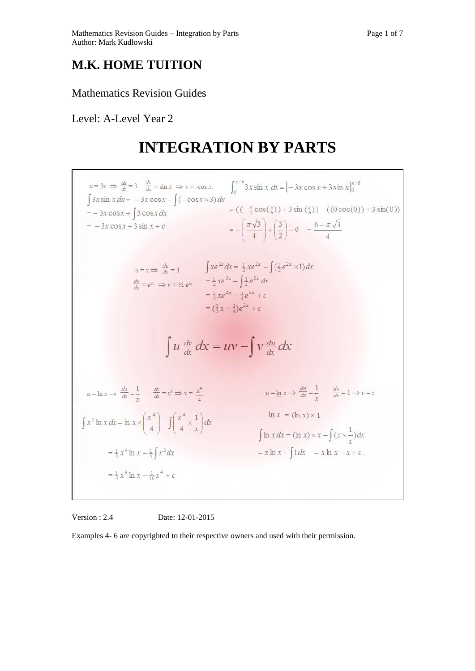## **M.K. HOME TUITION**

### Mathematics Revision Guides

Level: A-Level Year 2

# **INTEGRATION BY PARTS**



Version : 2.4 Date: 12-01-2015

Examples 4- 6 are copyrighted to their respective owners and used with their permission.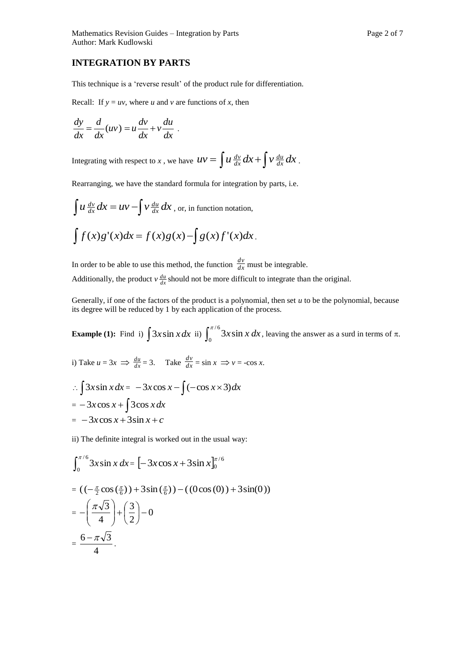#### **INTEGRATION BY PARTS**

This technique is a 'reverse result' of the product rule for differentiation.

Recall: If  $y = uv$ , where *u* and *v* are functions of *x*, then

$$
\frac{dy}{dx} = \frac{d}{dx}(uv) = u\frac{dv}{dx} + v\frac{du}{dx}.
$$

Integrating with respect to *x* , we have  $uv = \int u \frac{dv}{dx} dx + \int v \frac{du}{dx} dx$ *dx*  $\frac{dv}{dx}dx + v\frac{du}{dx}dx$ .

Rearranging, we have the standard formula for integration by parts, i.e.

$$
\int u \frac{dv}{dx} dx = uv - \int v \frac{du}{dx} dx
$$
, or, in function notation,  

$$
\int f(x)g'(x)dx = f(x)g(x) - \int g(x)f'(x)dx
$$
.

In order to be able to use this method, the function  $\frac{dv}{dx}$  $\frac{dv}{dx}$  must be integrable. Additionally, the product  $v \frac{du}{dx}$  should not be more difficult to integrate than the original.

Generally, if one of the factors of the product is a polynomial, then set  $u$  to be the polynomial, because its degree will be reduced by 1 by each application of the process.

**Example (1):** Find i)  $\int 3x \sin x dx$  ii)  $\int_0^{\pi/6} 3x \sin x dx$ , leaving the answer as a surd in terms of  $\pi$ .

i) Take 
$$
u = 3x \implies \frac{du}{dx} = 3
$$
. Take  $\frac{dv}{dx} = \sin x \implies v = -\cos x$ .  
\n
$$
\therefore \int 3x \sin x \, dx = -3x \cos x - \int (-\cos x \times 3) \, dx
$$

$$
= -3x\cos x + \int 3\cos x dx
$$

 $= -3x\cos x + 3\sin x + c$ 

ii) The definite integral is worked out in the usual way:

$$
\int_0^{\pi/6} 3x \sin x \, dx = \left[ -3x \cos x + 3 \sin x \right]_0^{\pi/6}
$$
  
=  $((-\frac{\pi}{2} \cos(\frac{\pi}{6})) + 3 \sin(\frac{\pi}{6})) - ((0 \cos(0)) + 3 \sin(0))$   
=  $-\left(\frac{\pi\sqrt{3}}{4}\right) + \left(\frac{3}{2}\right) - 0$   
=  $\frac{6 - \pi\sqrt{3}}{4}$ .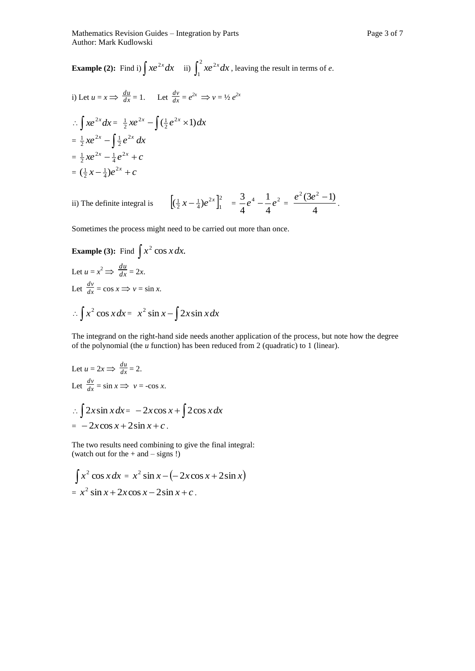i) Let 
$$
u = x \Rightarrow \frac{du}{dx} = 1
$$
. Let  $\frac{dv}{dx} = e^{2x} \Rightarrow v = \frac{1}{2}e^{2x}$   
\n
$$
\therefore \int xe^{2x} dx = \frac{1}{2}xe^{2x} - \int (\frac{1}{2}e^{2x} \times 1) dx
$$
\n
$$
= \frac{1}{2}xe^{2x} - \int \frac{1}{2}e^{2x} dx
$$
\n
$$
= \frac{1}{2}xe^{2x} - \frac{1}{4}e^{2x} + c
$$
\n
$$
= (\frac{1}{2}x - \frac{1}{4})e^{2x} + c
$$

ii) The definite integral is 2 1 2  $\left(\frac{1}{2}x-\frac{1}{4}\right)e^{2x}\Big]_1^2 = \frac{3}{4}e^4-\frac{1}{4}e^2$ 4 1 4  $\frac{3}{e^4}e^4 - \frac{1}{e^2}e^2 =$ 4  $\frac{e^2(3e^2-1)}{2}$ .

Sometimes the process might need to be carried out more than once.

Example (3): Find 
$$
\int x^2 \cos x dx
$$
.  
\nLet  $u = x^2 \Rightarrow \frac{du}{dx} = 2x$ .  
\nLet  $\frac{dv}{dx} = \cos x \Rightarrow v = \sin x$ .  
\n $\therefore \int x^2 \cos x dx = x^2 \sin x - \int 2x \sin x dx$ 

The integrand on the right-hand side needs another application of the process, but note how the degree of the polynomial (the *u* function) has been reduced from 2 (quadratic) to 1 (linear).

Let 
$$
u = 2x \Rightarrow \frac{du}{dx} = 2
$$
.  
\nLet  $\frac{dv}{dx} = \sin x \Rightarrow v = -\cos x$ .  
\n $\therefore \int 2x \sin x \, dx = -2x \cos x + \int 2\cos x \, dx$   
\n $= -2x \cos x + 2\sin x + c$ .

The two results need combining to give the final integral: (watch out for the + and – signs !)

$$
\int x^2 \cos x dx = x^2 \sin x - (-2x \cos x + 2 \sin x)
$$
  
= 
$$
x^2 \sin x + 2x \cos x - 2 \sin x + c.
$$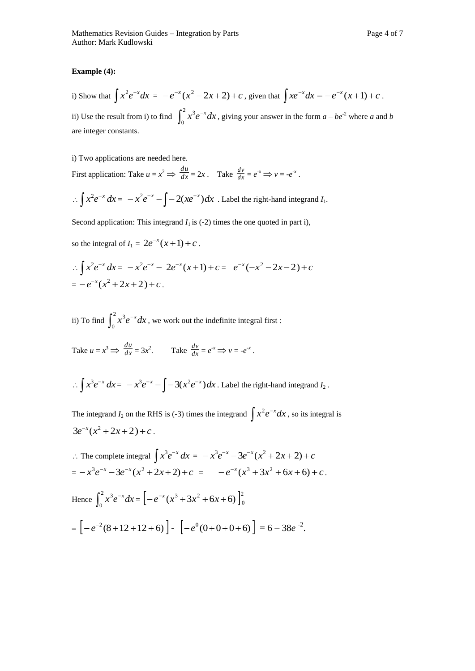#### **Example (4):**

i) Show that  $\int x^2 e^{-x} dx = -e^{-x}(x^2 - 2x + 2) + c$ , given that  $\int xe^{-x} dx = -e^{-x}(x+1) + c$ . ii) Use the result from i) to find  $\int_0^2 x^3 e^{-x}$ 0  $x^3 e^{-x} dx$ , giving your answer in the form  $a - be^{-2}$  where a and b are integer constants.

i) Two applications are needed here.

First application: Take  $u = x^2 \implies \frac{du}{dx}$  $\frac{du}{dx} = 2x$ . Take  $\frac{dv}{dx}$  $\frac{dv}{dx} = e^{-x} \implies v = -e^{-x}$ .

$$
\therefore \int x^2 e^{-x} dx = -x^2 e^{-x} - \int -2(x e^{-x}) dx
$$
. Label the right-hand integrand  $I_1$ .

Second application: This integrand  $I_1$  is (-2) times the one quoted in part i),

so the integral of  $I_1 = 2e^{-x}(x+1) + c$ .

$$
\therefore \int x^2 e^{-x} dx = -x^2 e^{-x} - 2e^{-x} (x+1) + c = e^{-x} (-x^2 - 2x - 2) + c
$$
  
=  $-e^{-x} (x^2 + 2x + 2) + c$ .

ii) To find  $\int_0^2 x^3 e^{-}$  $\mathbf{0}$  $x^3 e^{-x} dx$ , we work out the indefinite integral first :

Take 
$$
u = x^3 \implies \frac{du}{dx} = 3x^2
$$
. Take  $\frac{dv}{dx} = e^{-x} \implies v = -e^{-x}$ .

$$
\therefore \int x^3 e^{-x} dx = -x^3 e^{-x} - \int -3(x^2 e^{-x}) dx
$$
. Label the right-hand integrand  $I_2$ .

The integrand  $I_2$  on the RHS is (-3) times the integrand  $\int x^2 e^{-x} dx$ , so its integral is  $3e^{-x}(x^2+2x+2)+c$ .

$$
\therefore \text{ The complete integral } \int x^3 e^{-x} dx = -x^3 e^{-x} - 3e^{-x} (x^2 + 2x + 2) + c
$$
\n
$$
= -x^3 e^{-x} - 3e^{-x} (x^2 + 2x + 2) + c = -e^{-x} (x^3 + 3x^2 + 6x + 6) + c.
$$
\n
$$
\text{Hence } \int_0^2 x^3 e^{-x} dx = \left[ -e^{-x} (x^3 + 3x^2 + 6x + 6) \right]_0^2
$$
\n
$$
= \left[ -e^{-2} (8 + 12 + 12 + 6) \right] - \left[ -e^0 (0 + 0 + 0 + 6) \right] = 6 - 38e^{-2}.
$$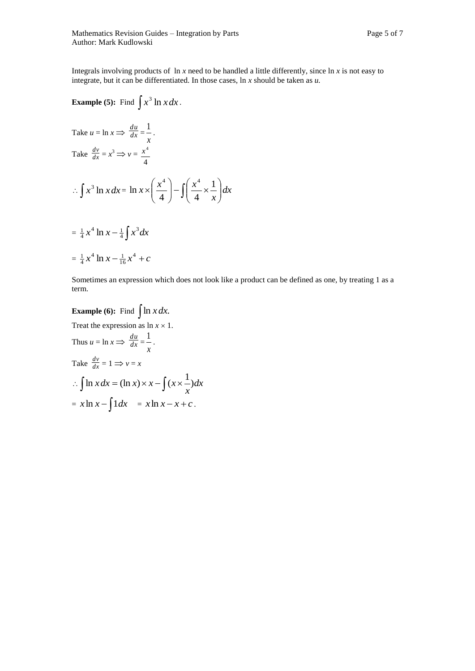Integrals involving products of ln *x* need to be handled a little differently, since ln *x* is not easy to integrate, but it can be differentiated. In those cases, ln *x* should be taken as *u.*

Example (5): Find 
$$
\int x^3 \ln x dx
$$
.  
\nTake  $u = \ln x \Rightarrow \frac{du}{dx} = \frac{1}{x}$ .  
\nTake  $\frac{dv}{dx} = x^3 \Rightarrow v = \frac{x^4}{4}$   
\n $\therefore \int x^3 \ln x dx = \ln x \times \left(\frac{x^4}{4}\right) - \int \left(\frac{x^4}{4} \times \frac{1}{x}\right) dx$   
\n $= \frac{1}{4} x^4 \ln x - \frac{1}{4} \int x^3 dx$   
\n $= \frac{1}{4} x^4 \ln x - \frac{1}{16} x^4 + c$ 

Sometimes an expression which does not look like a product can be defined as one, by treating 1 as a term.

Example (6): Find 
$$
\int \ln x dx
$$
.  
\nTreat the expression as  $\ln x \times 1$ .  
\nThus  $u = \ln x \Rightarrow \frac{du}{dx} = \frac{1}{x}$ .  
\nTake  $\frac{dv}{dx} = 1 \Rightarrow v = x$   
\n $\therefore \int \ln x dx = (\ln x) \times x - \int (x \times \frac{1}{x}) dx$   
\n $= x \ln x - \int 1 dx = x \ln x - x + c$ .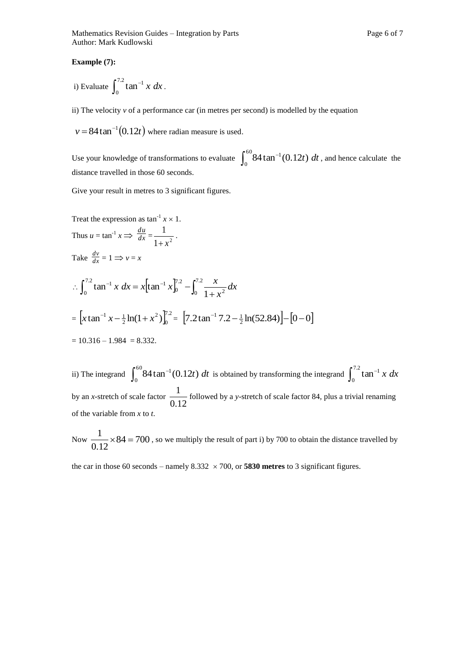#### **Example (7):**

i) Evaluate 
$$
\int_0^{7.2} \tan^{-1} x \, dx
$$
.

ii) The velocity *v* of a performance car (in metres per second) is modelled by the equation

 $v = 84 \tan^{-1}(0.12t)$  where radian measure is used.

Use your knowledge of transformations to evaluate  $\int_0^{60} 84 \tan^{-1}$ 0  $84 \tan^{-1}(0.12t) dt$ , and hence calculate the distance travelled in those 60 seconds.

Give your result in metres to 3 significant figures.

Treat the expression as 
$$
\tan^{-1} x \times 1
$$
.

\nThus  $u = \tan^{-1} x \Rightarrow \frac{du}{dx} = \frac{1}{1 + x^2}$ .

\nTake  $\frac{dv}{dx} = 1 \Rightarrow v = x$ 

\n
$$
\therefore \int_0^{7.2} \tan^{-1} x \, dx = x \left[ \tan^{-1} x \right]_0^{7.2} - \int_0^{7.2} \frac{x}{1 + x^2} \, dx
$$
\n=  $\left[ x \tan^{-1} x - \frac{1}{2} \ln(1 + x^2) \right]_0^{7.2} = \left[ 7.2 \tan^{-1} 7.2 - \frac{1}{2} \ln(52.84) \right] - \left[ 0 - 0 \right]$ 

\n=  $10.316 - 1.984 = 8.332$ .

ii) The integrand  $\int_0^{60} 84 \tan^{-1}$ 0 84 tan<sup>-1</sup>(0.12*t*) *dt* is obtained by transforming the integrand  $\int_0^{7.2} \tan^{-1}$  $\mathbf 0$  $\tan^{-1} x dx$ by an *x*-stretch of scale factor  $\frac{1}{0.12}$ 1 followed by a *y*-stretch of scale factor 84, plus a trivial renaming of the variable from *x* to *t*.

Now 
$$
\frac{1}{0.12} \times 84 = 700
$$
, so we multiply the result of part i) by 700 to obtain the distance travelled by

the car in those 60 seconds – namely  $8.332 \times 700$ , or **5830 metres** to 3 significant figures.